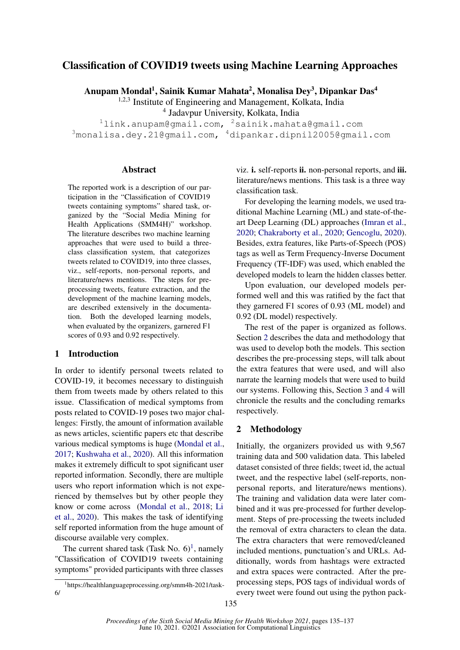# Classification of COVID19 tweets using Machine Learning Approaches

Anupam Mondal<sup>1</sup>, Sainik Kumar Mahata<sup>2</sup>, Monalisa Dey<sup>3</sup>, Dipankar Das<sup>4</sup>

<sup>1,2,3</sup> Institute of Engineering and Management, Kolkata, India

4 Jadavpur University, Kolkata, India

 $11$ ink.anupam@gmail.com,  $2$ sainik.mahata@gmail.com <sup>3</sup>monalisa.dey.21@gmail.com, <sup>4</sup>dipankar.dipnil2005@gmail.com

### Abstract

The reported work is a description of our participation in the "Classification of COVID19 tweets containing symptoms" shared task, organized by the "Social Media Mining for Health Applications (SMM4H)" workshop. The literature describes two machine learning approaches that were used to build a threeclass classification system, that categorizes tweets related to COVID19, into three classes, viz., self-reports, non-personal reports, and literature/news mentions. The steps for preprocessing tweets, feature extraction, and the development of the machine learning models, are described extensively in the documentation. Both the developed learning models, when evaluated by the organizers, garnered F1 scores of 0.93 and 0.92 respectively.

## 1 Introduction

In order to identify personal tweets related to COVID-19, it becomes necessary to distinguish them from tweets made by others related to this issue. Classification of medical symptoms from posts related to COVID-19 poses two major challenges: Firstly, the amount of information available as news articles, scientific papers etc that describe various medical symptoms is huge [\(Mondal et al.,](#page-2-0) [2017;](#page-2-0) [Kushwaha et al.,](#page-2-1) [2020\)](#page-2-1). All this information makes it extremely difficult to spot significant user reported information. Secondly, there are multiple users who report information which is not experienced by themselves but by other people they know or come across [\(Mondal et al.,](#page-2-2) [2018;](#page-2-2) [Li](#page-2-3) [et al.,](#page-2-3) [2020\)](#page-2-3). This makes the task of identifying self reported information from the huge amount of discourse available very complex.

The current shared task (Task No.  $6)^1$  $6)^1$ , namely "Classification of COVID19 tweets containing symptoms" provided participants with three classes viz. i. self-reports ii. non-personal reports, and iii. literature/news mentions. This task is a three way classification task.

For developing the learning models, we used traditional Machine Learning (ML) and state-of-theart Deep Learning (DL) approaches [\(Imran et al.,](#page-2-4) [2020;](#page-2-4) [Chakraborty et al.,](#page-2-5) [2020;](#page-2-5) [Gencoglu,](#page-2-6) [2020\)](#page-2-6). Besides, extra features, like Parts-of-Speech (POS) tags as well as Term Frequency-Inverse Document Frequency (TF-IDF) was used, which enabled the developed models to learn the hidden classes better.

Upon evaluation, our developed models performed well and this was ratified by the fact that they garnered F1 scores of 0.93 (ML model) and 0.92 (DL model) respectively.

The rest of the paper is organized as follows. Section [2](#page-0-1) describes the data and methodology that was used to develop both the models. This section describes the pre-processing steps, will talk about the extra features that were used, and will also narrate the learning models that were used to build our systems. Following this, Section [3](#page-1-0) and [4](#page-1-1) will chronicle the results and the concluding remarks respectively.

#### <span id="page-0-1"></span>2 Methodology

Initially, the organizers provided us with 9,567 training data and 500 validation data. This labeled dataset consisted of three fields; tweet id, the actual tweet, and the respective label (self-reports, nonpersonal reports, and literature/news mentions). The training and validation data were later combined and it was pre-processed for further development. Steps of pre-processing the tweets included the removal of extra characters to clean the data. The extra characters that were removed/cleaned included mentions, punctuation's and URLs. Additionally, words from hashtags were extracted and extra spaces were contracted. After the preprocessing steps, POS tags of individual words of every tweet were found out using the python pack-

<span id="page-0-0"></span><sup>1</sup> https://healthlanguageprocessing.org/smm4h-2021/task-6/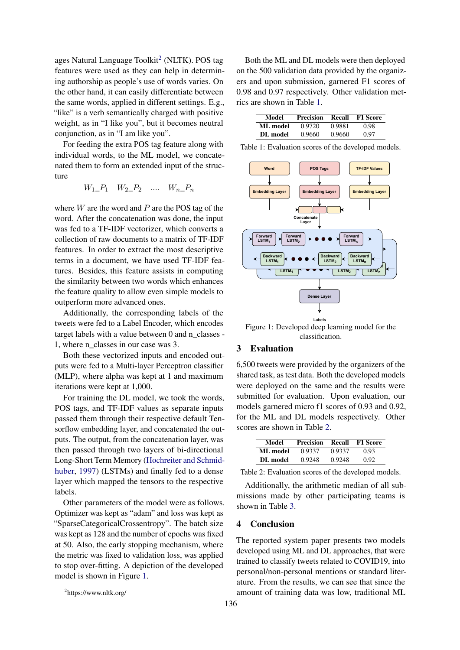ages Natural Language Toolkit<sup>[2](#page-1-2)</sup> (NLTK). POS tag features were used as they can help in determining authorship as people's use of words varies. On the other hand, it can easily differentiate between the same words, applied in different settings. E.g., "like" is a verb semantically charged with positive weight, as in "I like you", but it becomes neutral conjunction, as in "I am like you".

For feeding the extra POS tag feature along with individual words, to the ML model, we concatenated them to form an extended input of the structure

$$
W_1 \_P_1 \ W_2 \_P_2 \ \ldots \ W_n \_P_n
$$

where  $W$  are the word and  $P$  are the POS tag of the word. After the concatenation was done, the input was fed to a TF-IDF vectorizer, which converts a collection of raw documents to a matrix of TF-IDF features. In order to extract the most descriptive terms in a document, we have used TF-IDF features. Besides, this feature assists in computing the similarity between two words which enhances the feature quality to allow even simple models to outperform more advanced ones.

Additionally, the corresponding labels of the tweets were fed to a Label Encoder, which encodes target labels with a value between 0 and n\_classes - 1, where n\_classes in our case was 3.

Both these vectorized inputs and encoded outputs were fed to a Multi-layer Perceptron classifier (MLP), where alpha was kept at 1 and maximum iterations were kept at 1,000.

For training the DL model, we took the words, POS tags, and TF-IDF values as separate inputs passed them through their respective default Tensorflow embedding layer, and concatenated the outputs. The output, from the concatenation layer, was then passed through two layers of bi-directional Long-Short Term Memory [\(Hochreiter and Schmid](#page-2-7)[huber,](#page-2-7) [1997\)](#page-2-7) (LSTMs) and finally fed to a dense layer which mapped the tensors to the respective labels.

Other parameters of the model were as follows. Optimizer was kept as "adam" and loss was kept as "SparseCategoricalCrossentropy". The batch size was kept as 128 and the number of epochs was fixed at 50. Also, the early stopping mechanism, where the metric was fixed to validation loss, was applied to stop over-fitting. A depiction of the developed model is shown in Figure [1.](#page-1-3)

Both the ML and DL models were then deployed on the 500 validation data provided by the organizers and upon submission, garnered F1 scores of 0.98 and 0.97 respectively. Other validation metrics are shown in Table [1.](#page-1-4)

<span id="page-1-4"></span>

| Model    | <b>Precision</b> | Recall | <b>F1 Score</b> |
|----------|------------------|--------|-----------------|
| ML model | 0.9720           | 0.9881 | 0.98            |
| DL model | 0.9660           | 0.9660 | 0.97            |

Table 1: Evaluation scores of the developed models.

<span id="page-1-3"></span>

Figure 1: Developed deep learning model for the classification.

#### <span id="page-1-0"></span>3 Evaluation

6,500 tweets were provided by the organizers of the shared task, as test data. Both the developed models were deployed on the same and the results were submitted for evaluation. Upon evaluation, our models garnered micro f1 scores of 0.93 and 0.92, for the ML and DL models respectively. Other scores are shown in Table [2.](#page-1-5)

<span id="page-1-5"></span>

| Model    | <b>Precision</b> | Recall | <b>F1 Score</b> |
|----------|------------------|--------|-----------------|
| ML model | 0.9337           | 0.9337 | 0.93            |
| DL model | 0.9248           | 0.9248 | 0.92            |

Table 2: Evaluation scores of the developed models.

Additionally, the arithmetic median of all submissions made by other participating teams is shown in Table [3.](#page-2-8)

#### <span id="page-1-1"></span>4 Conclusion

The reported system paper presents two models developed using ML and DL approaches, that were trained to classify tweets related to COVID19, into personal/non-personal mentions or standard literature. From the results, we can see that since the amount of training data was low, traditional ML

<span id="page-1-2"></span><sup>&</sup>lt;sup>2</sup>https://www.nltk.org/